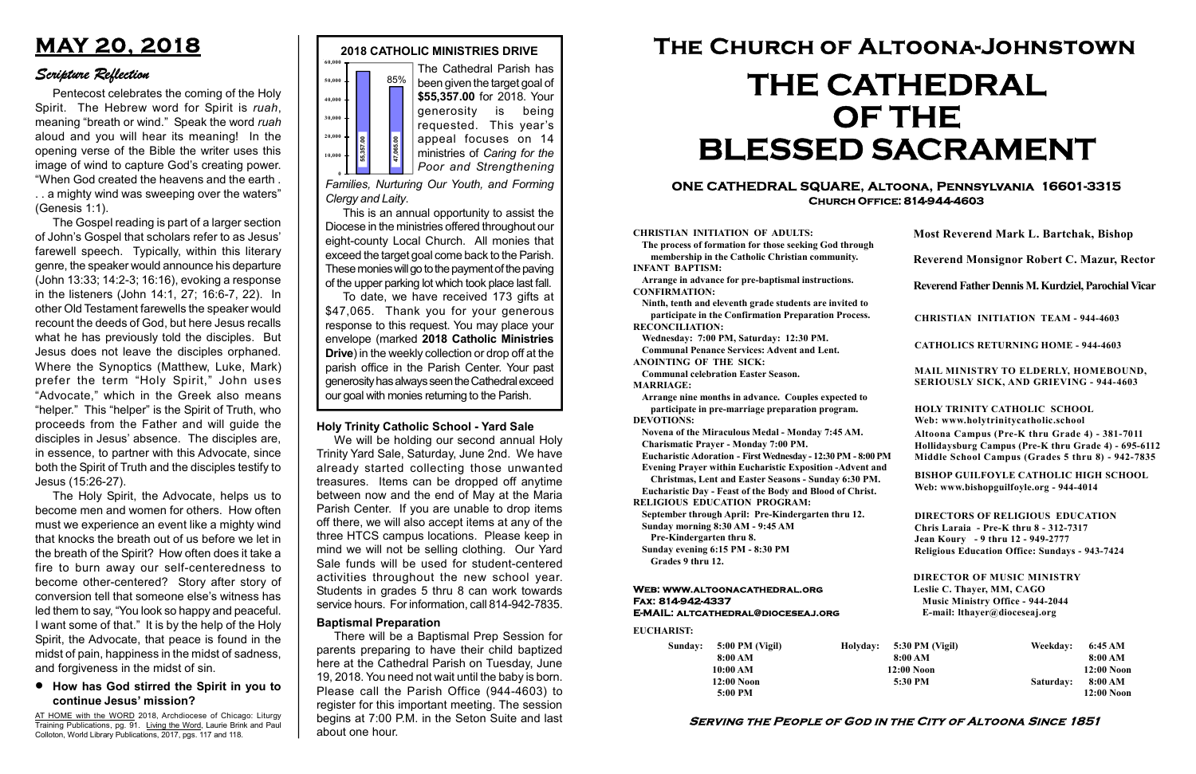#### Serving the People of God in the City of Altoona Since 1851

Sunday: 5:00 PM (Vigil) 8:00 AM 10:00 AM 12:00 Noon 5:00 PM

Holyday:

#### Web: www.altoonacathedral.org Fax: 814-942-4337 E-MAIL: altcathedral@dioceseaj.org

EUCHARIST:

#### CHRISTIAN INITIATION OF ADULTS:

The process of formation for those seeking God through membership in the Catholic Christian community. INFANT BAPTISM:

Arrange in advance for pre-baptismal instructions. CONFIRMATION:

Ninth, tenth and eleventh grade students are invited to participate in the Confirmation Preparation Process. RECONCILIATION:

Wednesday: 7:00 PM, Saturday: 12:30 PM. Communal Penance Services: Advent and Lent.

ANOINTING OF THE SICK:

Communal celebration Easter Season. MARRIAGE:

Arrange nine months in advance. Couples expected to participate in pre-marriage preparation program. DEVOTIONS:

Novena of the Miraculous Medal - Monday 7:45 AM.

Charismatic Prayer - Monday 7:00 PM. Eucharistic Adoration - First Wednesday - 12:30 PM - 8:00 PM

Evening Prayer within Eucharistic Exposition -Advent and

Christmas, Lent and Easter Seasons - Sunday 6:30 PM.

|                       | <b>Most Reverend Mark L. Bartchak, Bishop</b><br><b>Reverend Monsignor Robert C. Mazur, Rector</b>                                                                                                                                                                                                                             |           |                         |
|-----------------------|--------------------------------------------------------------------------------------------------------------------------------------------------------------------------------------------------------------------------------------------------------------------------------------------------------------------------------|-----------|-------------------------|
|                       |                                                                                                                                                                                                                                                                                                                                |           |                         |
|                       | Reverend Father Dennis M. Kurdziel, Parochial Vicar                                                                                                                                                                                                                                                                            |           |                         |
|                       | <b>CHRISTIAN INITIATION TEAM - 944-4603</b>                                                                                                                                                                                                                                                                                    |           |                         |
|                       | <b>CATHOLICS RETURNING HOME - 944-4603</b>                                                                                                                                                                                                                                                                                     |           |                         |
|                       | MAIL MINISTRY TO ELDERLY, HOMEBOUND,<br><b>SERIOUSLY SICK, AND GRIEVING - 944-4603</b>                                                                                                                                                                                                                                         |           |                         |
|                       | <b>HOLY TRINITY CATHOLIC SCHOOL</b><br>Web: www.holytrinitycatholic.school<br>Altoona Campus (Pre-K thru Grade 4) - 381-7011<br>Hollidaysburg Campus (Pre-K thru Grade 4) - 695-6112<br>Middle School Campus (Grades 5 thru 8) - 942-7835                                                                                      |           |                         |
| М                     |                                                                                                                                                                                                                                                                                                                                |           |                         |
| ł                     | <b>BISHOP GUILFOYLE CATHOLIC HIGH SCHOOL</b><br>Web: www.bishopguilfoyle.org - 944-4014                                                                                                                                                                                                                                        |           |                         |
|                       | <b>DIRECTORS OF RELIGIOUS EDUCATION</b><br>Chris Laraia - Pre-K thru 8 - 312-7317<br>Jean Koury - 9 thru 12 - 949-2777<br><b>Religious Education Office: Sundays - 943-7424</b><br><b>DIRECTOR OF MUSIC MINISTRY</b><br>Leslie C. Thayer, MM, CAGO<br><b>Music Ministry Office - 944-2044</b><br>E-mail: lthayer@dioceseaj.org |           |                         |
|                       |                                                                                                                                                                                                                                                                                                                                |           |                         |
| 5:30 PM (Vigil)       |                                                                                                                                                                                                                                                                                                                                | Weekday:  | 6:45 AM                 |
| 8:00 AM<br>12:00 Noon |                                                                                                                                                                                                                                                                                                                                |           | 8:00 AM<br>$12:00$ Noon |
| 5:30 PM               |                                                                                                                                                                                                                                                                                                                                | Saturday: | 8:00 AM<br>$12:00$ Noon |
|                       |                                                                                                                                                                                                                                                                                                                                |           |                         |

Eucharistic Day - Feast of the Body and Blood of Christ.

RELIGIOUS EDUCATION PROGRAM:



September through April: Pre-Kindergarten thru 12. Sunday morning 8:30 AM - 9:45 AM

Pre-Kindergarten thru 8.

Sunday evening 6:15 PM - 8:30 PM Grades 9 thru 12.

To date, we have received 173 gifts at \$47,065. Thank you for your generous response to this request. You may place your envelope (marked 2018 Catholic Ministries Drive) in the weekly collection or drop off at the parish office in the Parish Center. Your past generosity has always seen the Cathedral exceed Framilies, Nurturing Our Youth, and Forming<br>Framilies, Nurturing Our Youth, and Forming<br>Clergy and Laity.<br>This is an annual opportunity to assist the<br>Diocese in the ministries offered throughout our<br>eight-county Local Chu

#### ONE CATHEDRAL SQUARE, Altoona, Pennsylvania 16601-3315 Church Office: 814-944-4603

# The Church of Altoona-Johnstown THE CATHEDRAL OF THE BLESSED SACRAMENT

Families, Nurturing Our Youth, and Forming Clergy and Laity.

This is an annual opportunity to assist the Diocese in the ministries offered throughout our eight-county Local Church. All monies that exceed the target goal come back to the Parish. These monies will go to the payment of the paving of the upper parking lot which took place last fall.

#### Holy Trinity Catholic School - Yard Sale

We will be holding our second annual Holy Trinity Yard Sale, Saturday, June 2nd. We have already started collecting those unwanted treasures. Items can be dropped off anytime between now and the end of May at the Maria Parish Center. If you are unable to drop items off there, we will also accept items at any of the three HTCS campus locations. Please keep in mind we will not be selling clothing. Our Yard Sale funds will be used for student-centered activities throughout the new school year. Students in grades 5 thru 8 can work towards service hours. For information, call 814-942-7835.

## MAY 20, 2018

### Scripture Reflection

#### How has God stirred the Spirit in you to continue Jesus' mission?

Pentecost celebrates the coming of the Holy Spirit. The Hebrew word for Spirit is ruah, meaning "breath or wind." Speak the word ruah aloud and you will hear its meaning! In the opening verse of the Bible the writer uses this image of wind to capture God's creating power. "When God created the heavens and the earth . . . a mighty wind was sweeping over the waters" (Genesis 1:1).

The Gospel reading is part of a larger section of John's Gospel that scholars refer to as Jesus' farewell speech. Typically, within this literary genre, the speaker would announce his departure (John 13:33; 14:2-3; 16:16), evoking a response in the listeners (John 14:1, 27; 16:6-7, 22). In other Old Testament farewells the speaker would recount the deeds of God, but here Jesus recalls what he has previously told the disciples. But Jesus does not leave the disciples orphaned. Where the Synoptics (Matthew, Luke, Mark) prefer the term "Holy Spirit," John uses "Advocate," which in the Greek also means "helper." This "helper" is the Spirit of Truth, who proceeds from the Father and will guide the disciples in Jesus' absence. The disciples are, in essence, to partner with this Advocate, since both the Spirit of Truth and the disciples testify to Jesus (15:26-27).

The Holy Spirit, the Advocate, helps us to become men and women for others. How often must we experience an event like a mighty wind that knocks the breath out of us before we let in the breath of the Spirit? How often does it take a fire to burn away our self-centeredness to become other-centered? Story after story of conversion tell that someone else's witness has led them to say, "You look so happy and peaceful. I want some of that." It is by the help of the Holy Spirit, the Advocate, that peace is found in the midst of pain, happiness in the midst of sadness, and forgiveness in the midst of sin.

AT HOME with the WORD 2018, Archdiocese of Chicago: Liturgy Training Publications, pg. 91. Living the Word, Laurie Brink and Paul Colloton, World Library Publications, 2017, pgs. 117 and 118.

#### Baptismal Preparation

There will be a Baptismal Prep Session for parents preparing to have their child baptized here at the Cathedral Parish on Tuesday, June 19, 2018. You need not wait until the baby is born. Please call the Parish Office (944-4603) to register for this important meeting. The session begins at 7:00 P.M. in the Seton Suite and last about one hour.